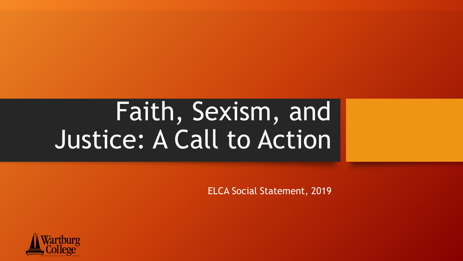# Faith, Sexism, and Justice: A Call to Action

ELCA Social Statement, 2019

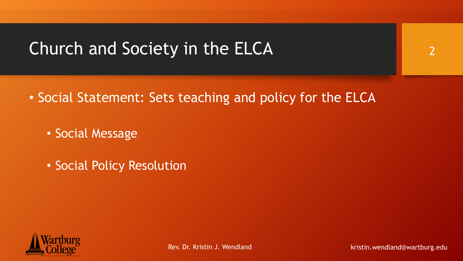### Church and Society in the ELCA 2

- Social Statement: Sets teaching and policy for the ELCA
	- Social Message
	- Social Policy Resolution

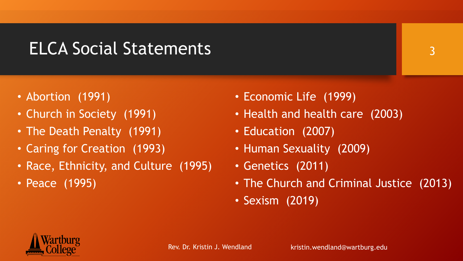#### ELCA Social Statements 3

- Abortion (1991)
- Church in Society (1991)
- The Death Penalty (1991)
- Caring for Creation (1993)
- Race, Ethnicity, and Culture (1995)
- Peace (1995)
- Economic Life (1999)
- Health and health care (2003)
- Education (2007)
- Human Sexuality (2009)
- Genetics (2011)
- The Church and Criminal Justice (2013)
- Sexism (2019)

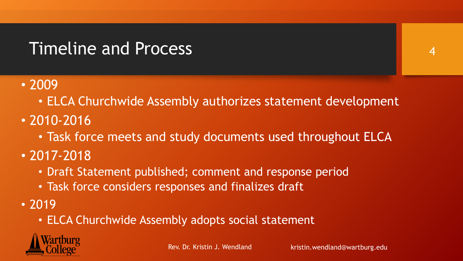### Timeline and Process 4

- 2009
	- ELCA Churchwide Assembly authorizes statement development
- 2010-2016
	- Task force meets and study documents used throughout ELCA
- 2017-2018
	- Draft Statement published; comment and response period
	- Task force considers responses and finalizes draft
- 2019
	- ELCA Churchwide Assembly adopts social statement

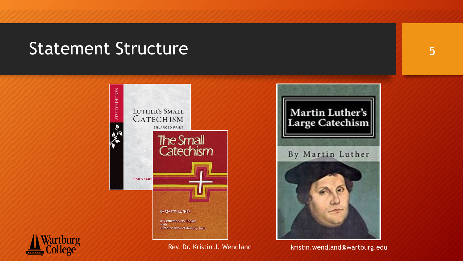#### Statement Structure 50 and 50 and 50 and 50 and 50 and 50 and 50 and 50 and 50 and 50 and 50 and 50 and 50 and 50 and 50 and 50 and 50 and 50 and 50 and 50 and 50 and 50 and 50 and 50 and 50 and 50 and 50 and 50 and 50 and

*Fartburg* 







Rev. Dr. Kristin J. Wendland Kristin.wendland@wartburg.edu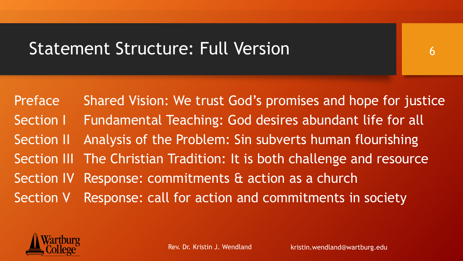### Statement Structure: Full Version 6

Preface Shared Vision: We trust God's promises and hope for justice Section I Fundamental Teaching: God desires abundant life for all Section II Analysis of the Problem: Sin subverts human flourishing Section III The Christian Tradition: It is both challenge and resource Section IV Response: commitments & action as a church Section V Response: call for action and commitments in society

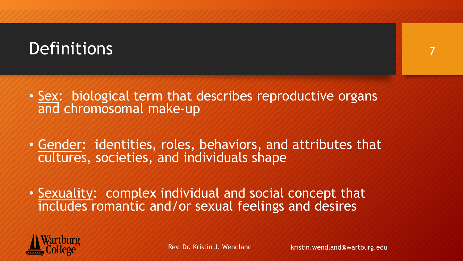#### Definitions and the set of the set of the set of the set of the set of the set of the set of the set of the set

- Sex: biological term that describes reproductive organs and chromosomal make-up
- Gender: identities, roles, behaviors, and attributes that cultures, societies, and individuals shape
- Sexuality: complex individual and social concept that includes romantic and/or sexual feelings and desires

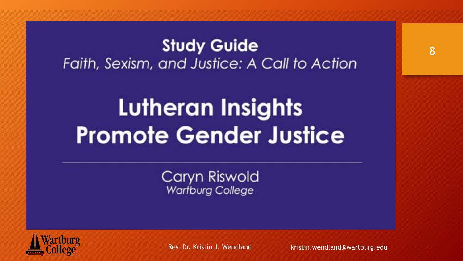#### **Study Guide** Faith, Sexism, and Justice: A Call to Action

# Lutheran Insights **Promote Gender Justice**

Caryn Riswold **Wartburg College** 



Rev. Dr. Kristin J. Wendland Kristin.wendland@wartburg.edu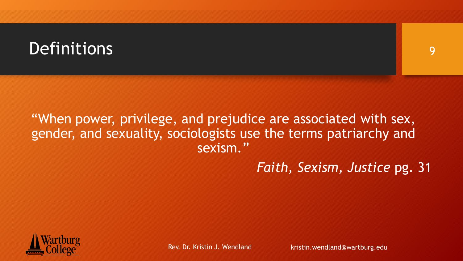### Definitions <sup>9</sup>

#### "When power, privilege, and prejudice are associated with sex, gender, and sexuality, sociologists use the terms patriarchy and sexism."

*Faith, Sexism, Justice* pg. 31

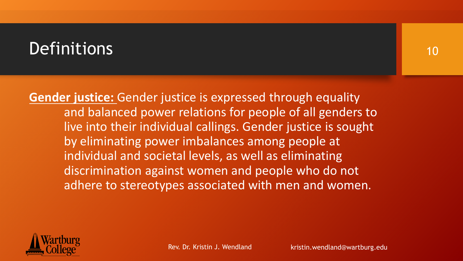### Definitions and the set of the set of the set of the set of the set of the set of the set of the set of the set

**Gender justice:** Gender justice is expressed through equality and balanced power relations for people of all genders to live into their individual callings. Gender justice is sought by eliminating power imbalances among people at individual and societal levels, as well as eliminating discrimination against women and people who do not adhere to stereotypes associated with men and women.

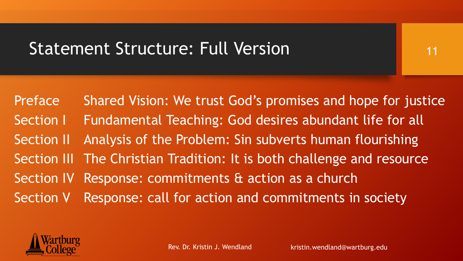### Statement Structure: Full Version 11

Preface Shared Vision: We trust God's promises and hope for justice Section I Fundamental Teaching: God desires abundant life for all Section II Analysis of the Problem: Sin subverts human flourishing Section III The Christian Tradition: It is both challenge and resource Section IV Response: commitments & action as a church Section V Response: call for action and commitments in society

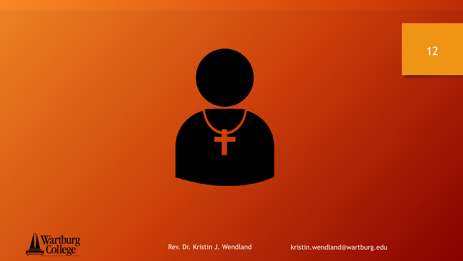

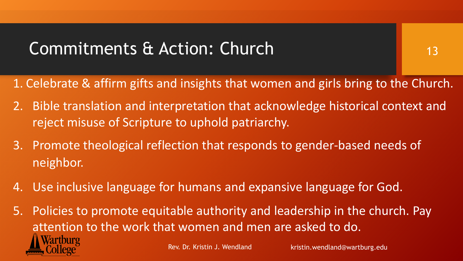## Commitments & Action: Church 13

1. Celebrate & affirm gifts and insights that women and girls bring to the Church.

- 2. Bible translation and interpretation that acknowledge historical context and reject misuse of Scripture to uphold patriarchy.
- 3. Promote theological reflection that responds to gender-based needs of neighbor.
- 4. Use inclusive language for humans and expansive language for God.
- 5. Policies to promote equitable authority and leadership in the church. Pay attention to the work that women and men are asked to do. Rev. Dr. Kristin J. Wendland Kristin.wendland@wartburg.edu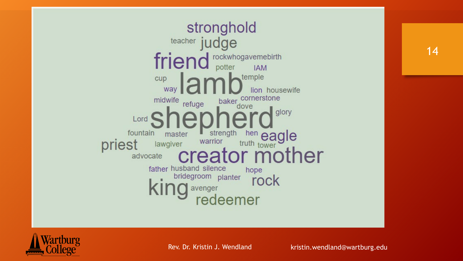

Rev. Dr. Kristin J. Wendland Kristin.wendland@wartburg.edu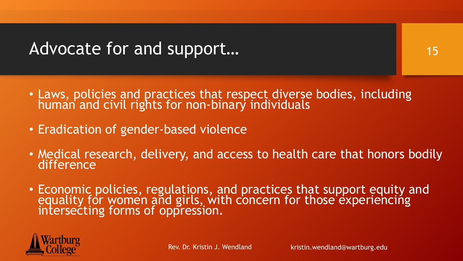### Advocate for and support… 15

- Laws, policies and practices that respect diverse bodies, including human and civil rights for non-binary individuals
- Eradication of gender-based violence
- Medical research, delivery, and access to health care that honors bodily difference
- Economic policies, regulations, and practices that support equity and equality for women and girls, with concern for those experiencing intersecting forms of oppression.

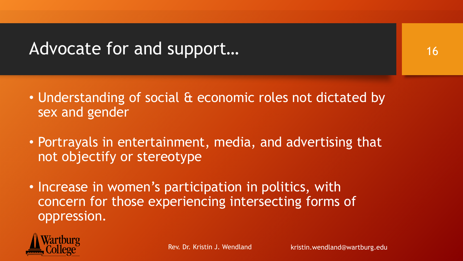### Advocate for and support… 16

- Understanding of social & economic roles not dictated by sex and gender
- Portrayals in entertainment, media, and advertising that not objectify or stereotype
- Increase in women's participation in politics, with concern for those experiencing intersecting forms of oppression.